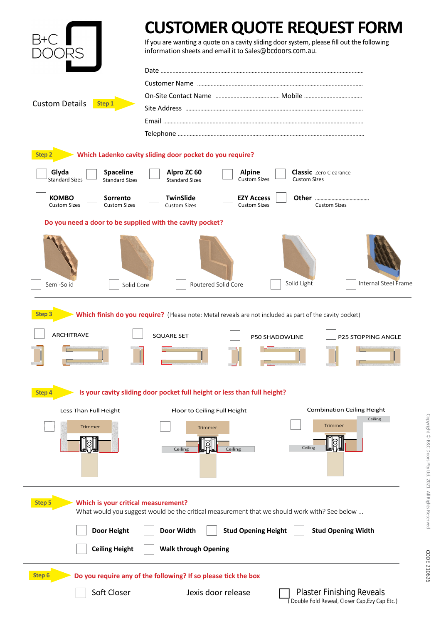|                                                                                                                                                                                                                   | <b>CUSTOMER QUOTE REQUEST FORM</b><br>If you are wanting a quote on a cavity sliding door system, please fill out the following<br>information sheets and email it to Sales@bcdoors.com.au. |
|-------------------------------------------------------------------------------------------------------------------------------------------------------------------------------------------------------------------|---------------------------------------------------------------------------------------------------------------------------------------------------------------------------------------------|
| <b>Custom Details</b><br>Step 1                                                                                                                                                                                   |                                                                                                                                                                                             |
|                                                                                                                                                                                                                   |                                                                                                                                                                                             |
|                                                                                                                                                                                                                   |                                                                                                                                                                                             |
|                                                                                                                                                                                                                   |                                                                                                                                                                                             |
|                                                                                                                                                                                                                   |                                                                                                                                                                                             |
|                                                                                                                                                                                                                   |                                                                                                                                                                                             |
| Which Ladenko cavity sliding door pocket do you require?<br><b>Step 2</b>                                                                                                                                         |                                                                                                                                                                                             |
| Glyda<br><b>Spaceline</b><br><b>Standard Sizes</b><br><b>Standard Sizes</b>                                                                                                                                       | Alpro ZC 60<br><b>Classic</b> Zero Clearance<br><b>Alpine</b><br><b>Custom Sizes</b><br><b>Custom Sizes</b><br><b>Standard Sizes</b>                                                        |
| <b>KOMBO</b><br>Sorrento<br><b>Custom Sizes</b><br><b>Custom Sizes</b>                                                                                                                                            | <b>TwinSlide</b><br><b>EZY Access</b><br><b>Custom Sizes</b><br><b>Custom Sizes</b><br><b>Custom Sizes</b>                                                                                  |
| Do you need a door to be supplied with the cavity pocket?                                                                                                                                                         |                                                                                                                                                                                             |
|                                                                                                                                                                                                                   |                                                                                                                                                                                             |
| Semi-Solid                                                                                                                                                                                                        | Solid Light<br>Internal Steel Frame<br>Routered Solid Core<br>Solid Core                                                                                                                    |
| Which finish do you require? (Please note: Metal reveals are not included as part of the cavity pocket)<br>Step 3<br><b>ARCHITRAVE</b><br><b>SQUARE SET</b><br><b>P50 SHADOWLINE</b><br><b>P25 STOPPING ANGLE</b> |                                                                                                                                                                                             |
| Is your cavity sliding door pocket full height or less than full height?<br><b>Step 4</b>                                                                                                                         |                                                                                                                                                                                             |
| Less Than Full Height                                                                                                                                                                                             | <b>Combination Ceiling Height</b><br>Floor to Ceiling Full Height                                                                                                                           |
| Trimmer                                                                                                                                                                                                           | Ceiling<br>Trimmer<br>Trimmer<br>Ceiling<br>Ceiling<br>Ceiling                                                                                                                              |
| <b>Step 5</b><br>Which is your critical measurement?<br>What would you suggest would be the critical measurement that we should work with? See below                                                              |                                                                                                                                                                                             |
| <b>Door Height</b>                                                                                                                                                                                                | Door Width<br><b>Stud Opening Height</b><br><b>Stud Opening Width</b>                                                                                                                       |
| <b>Ceiling Height</b>                                                                                                                                                                                             | <b>Walk through Opening</b>                                                                                                                                                                 |
| Step <sub>6</sub><br>Do you require any of the following? If so please tick the box                                                                                                                               |                                                                                                                                                                                             |
| Soft Closer                                                                                                                                                                                                       | <b>Plaster Finishing Reveals</b><br>Jexis door release<br>Double Fold Reveal, Closer Cap, Ezy Cap Etc.)                                                                                     |

CODE 210626 CODE 210626